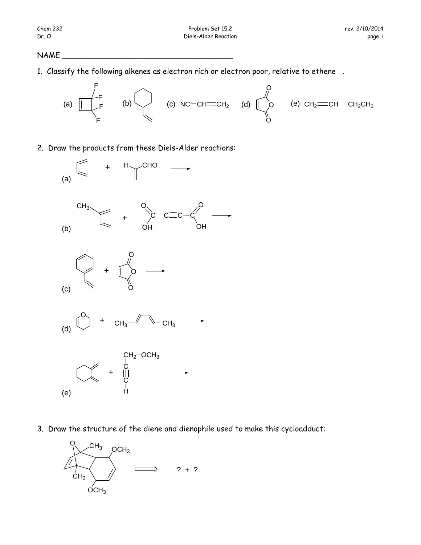## NAME

1. Classify the following alkenes as electron rich or electron poor, relative to ethene .



2. Draw the products from these Diels-Alder reactions:



3. Draw the structure of the diene and dienophile used to make this cycloadduct:

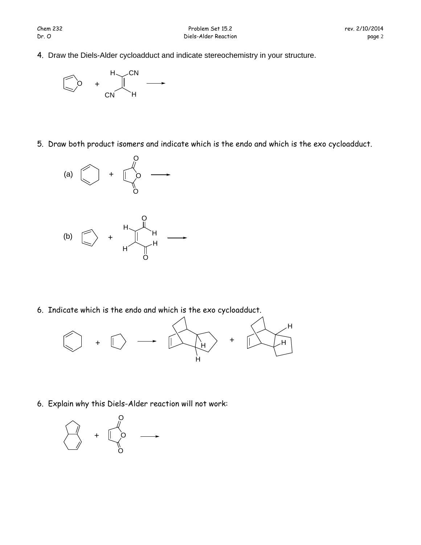4. Draw the Diels-Alder cycloadduct and indicate stereochemistry in your structure.



5. Draw both product isomers and indicate which is the endo and which is the exo cycloadduct.



6. Indicate which is the endo and which is the exo cycloadduct.

O



6. Explain why this Diels-Alder reaction will not work: